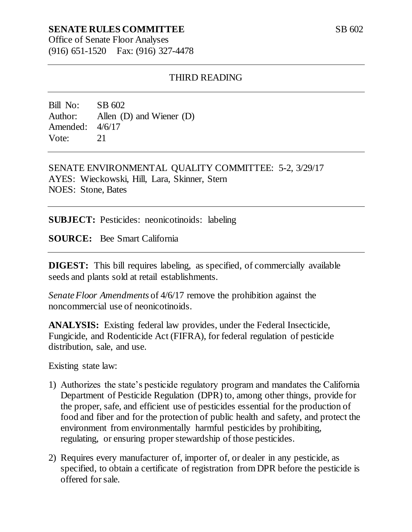## **SENATE RULES COMMITTEE**

Office of Senate Floor Analyses (916) 651-1520 Fax: (916) 327-4478

### THIRD READING

Bill No: SB 602 Author: Allen (D) and Wiener (D) Amended: 4/6/17 Vote: 21

SENATE ENVIRONMENTAL QUALITY COMMITTEE: 5-2, 3/29/17 AYES: Wieckowski, Hill, Lara, Skinner, Stern NOES: Stone, Bates

**SUBJECT:** Pesticides: neonicotinoids: labeling

**SOURCE:** Bee Smart California

**DIGEST:** This bill requires labeling, as specified, of commercially available seeds and plants sold at retail establishments.

*Senate Floor Amendments* of 4/6/17 remove the prohibition against the noncommercial use of neonicotinoids.

**ANALYSIS:** Existing federal law provides, under the Federal Insecticide, Fungicide, and Rodenticide Act (FIFRA), for federal regulation of pesticide distribution, sale, and use.

Existing state law:

- 1) Authorizes the state's pesticide regulatory program and mandates the California Department of Pesticide Regulation (DPR) to, among other things, provide for the proper, safe, and efficient use of pesticides essential for the production of food and fiber and for the protection of public health and safety, and protect the environment from environmentally harmful pesticides by prohibiting, regulating, or ensuring proper stewardship of those pesticides.
- 2) Requires every manufacturer of, importer of, or dealer in any pesticide, as specified, to obtain a certificate of registration from DPR before the pesticide is offered for sale.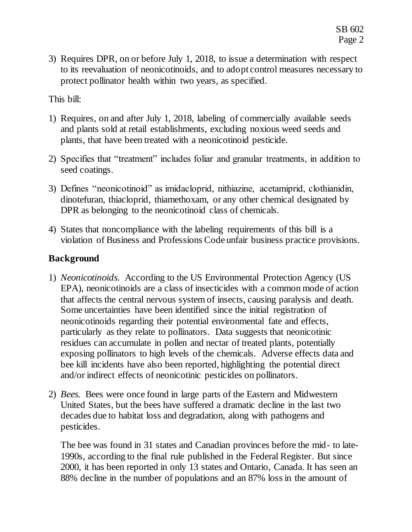3) Requires DPR, on or before July 1, 2018, to issue a determination with respect to its reevaluation of neonicotinoids, and to adopt control measures necessary to protect pollinator health within two years, as specified.

This bill:

- 1) Requires, on and after July 1, 2018, labeling of commercially available seeds and plants sold at retail establishments, excluding noxious weed seeds and plants, that have been treated with a neonicotinoid pesticide.
- 2) Specifies that "treatment" includes foliar and granular treatments, in addition to seed coatings.
- 3) Defines "neonicotinoid" as imidacloprid, nithiazine, acetamiprid, clothianidin, dinotefuran, thiacloprid, thiamethoxam, or any other chemical designated by DPR as belonging to the neonicotinoid class of chemicals.
- 4) States that noncompliance with the labeling requirements of this bill is a violation of Business and Professions Code unfair business practice provisions.

# **Background**

- 1) *Neonicotinoids.* According to the US Environmental Protection Agency (US EPA), neonicotinoids are a class of insecticides with a common mode of action that affects the central nervous system of insects, causing paralysis and death. Some uncertainties have been identified since the initial registration of neonicotinoids regarding their potential environmental fate and effects, particularly as they relate to pollinators. Data suggests that neonicotinic residues can accumulate in pollen and nectar of treated plants, potentially exposing pollinators to high levels of the chemicals. Adverse effects data and bee kill incidents have also been reported, highlighting the potential direct and/or indirect effects of neonicotinic pesticides on pollinators.
- 2) *Bees.* Bees were once found in large parts of the Eastern and Midwestern United States*,* but the bees have suffered a dramatic decline in the last two decades due to habitat loss and degradation, along with pathogens and pesticides.

The bee was found in 31 states and Canadian provinces before the mid- to late-1990s, according to the final rule published in the Federal Register. But since 2000, it has been reported in only 13 states and Ontario, Canada. It has seen an 88% decline in the number of populations and an 87% loss in the amount of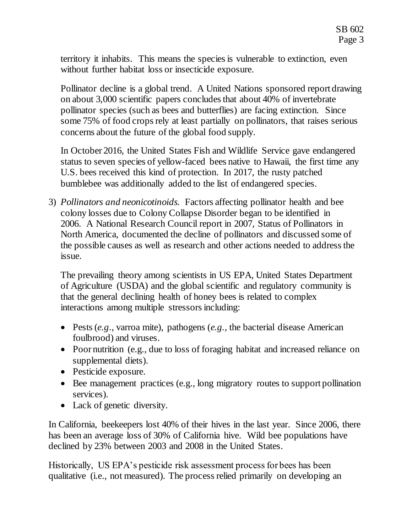territory it inhabits. This means the species is vulnerable to extinction, even without further habitat loss or insecticide exposure.

Pollinator decline is a global trend. A United Nations sponsored report drawing on about 3,000 scientific papers concludes that about 40% of invertebrate pollinator species (such as bees and butterflies) are facing extinction. Since some 75% of food crops rely at least partially on pollinators, that raises serious concerns about the future of the global food supply.

In October 2016, the United States Fish and Wildlife Service gave endangered status to seven species of yellow-faced bees native to Hawaii, the first time any U.S. bees received this kind of protection. In 2017, the rusty patched bumblebee was additionally added to the list of endangered species.

3) *Pollinators and neonicotinoids.* Factors affecting pollinator health and bee colony losses due to Colony Collapse Disorder began to be identified in 2006. A National Research Council report in 2007, Status of Pollinators in North America, documented the decline of pollinators and discussed some of the possible causes as well as research and other actions needed to address the issue.

The prevailing theory among scientists in US EPA, United States Department of Agriculture (USDA) and the global scientific and regulatory community is that the general declining health of honey bees is related to complex interactions among multiple stressors including:

- Pests (*e.g*., varroa mite), pathogens (*e.g.,* the bacterial disease American foulbrood) and viruses.
- Poor nutrition (e.g., due to loss of foraging habitat and increased reliance on supplemental diets).
- Pesticide exposure.
- Bee management practices (e.g., long migratory routes to support pollination services).
- Lack of genetic diversity.

In California, beekeepers lost 40% of their hives in the last year. Since 2006, there has been an average loss of 30% of California hive. Wild bee populations have declined by 23% between 2003 and 2008 in the United States.

Historically, US EPA's pesticide risk assessment process for bees has been qualitative (i.e., not measured). The process relied primarily on developing an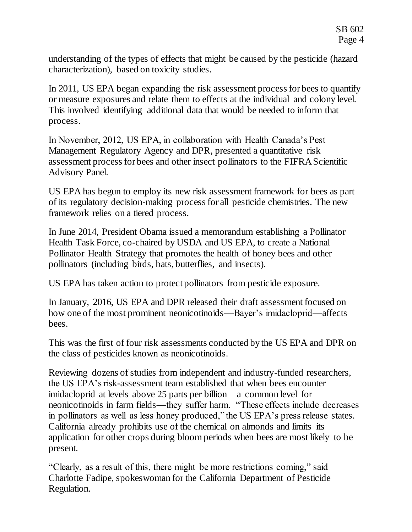understanding of the types of effects that might be caused by the pesticide (hazard characterization), based on toxicity studies.

In 2011, US EPA began expanding the risk assessment process for bees to quantify or measure exposures and relate them to effects at the individual and colony level. This involved identifying additional data that would be needed to inform that process.

In November, 2012, US EPA, in collaboration with Health Canada's Pest Management Regulatory Agency and DPR, presented a quantitative risk assessment process for bees and other insect pollinators to the FIFRA Scientific Advisory Panel.

US EPA has begun to employ its new risk assessment framework for bees as part of its regulatory decision-making process for all pesticide chemistries. The new framework relies on a tiered process.

In June 2014, President Obama issued a memorandum establishing a Pollinator Health Task Force, co-chaired by USDA and US EPA, to create a National Pollinator Health Strategy that promotes the health of honey bees and other pollinators (including birds, bats, butterflies, and insects).

US EPA has taken action to protect pollinators from pesticide exposure.

In January, 2016, US EPA and DPR released their draft assessment focused on how one of the most prominent neonicotinoids—Bayer's imidacloprid—affects bees.

This was the first of four risk assessments conducted by the US EPA and DPR on the class of pesticides known as neonicotinoids.

Reviewing dozens of studies from independent and industry-funded researchers, the US EPA's risk-assessment team established that when bees encounter imidacloprid at levels above 25 parts per billion—a common level for neonicotinoids in farm fields—they suffer harm. "These effects include decreases in pollinators as well as less honey produced," the US EPA's press release states. California already prohibits use of the chemical on almonds and limits its application for other crops during bloom periods when bees are most likely to be present.

"Clearly, as a result of this, there might be more restrictions coming," said Charlotte Fadipe, spokeswoman for the California Department of Pesticide Regulation.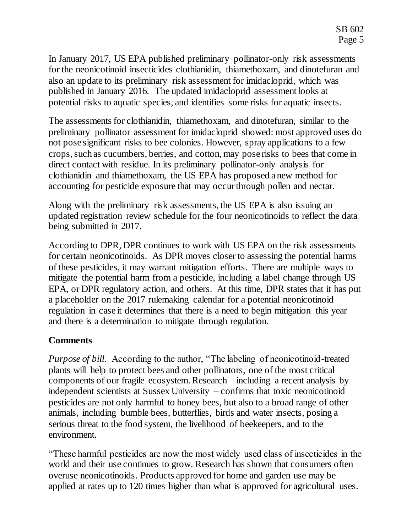In January 2017, US EPA published preliminary pollinator-only risk assessments for the neonicotinoid insecticides clothianidin, thiamethoxam, and dinotefuran and also an update to its preliminary risk assessment for imidacloprid, which was published in January 2016. The updated imidacloprid assessment looks at potential risks to aquatic species, and identifies some risks for aquatic insects.

The assessments for clothianidin, thiamethoxam, and dinotefuran, similar to the preliminary pollinator assessment for imidacloprid showed: most approved uses do not pose significant risks to bee colonies. However, spray applications to a few crops, such as cucumbers, berries, and cotton, may pose risks to bees that come in direct contact with residue. In its preliminary pollinator-only analysis for clothianidin and thiamethoxam, the US EPA has proposed a new method for accounting for pesticide exposure that may occur through pollen and nectar.

Along with the preliminary risk assessments, the US EPA is also issuing an updated registration review schedule for the four neonicotinoids to reflect the data being submitted in 2017.

According to DPR, DPR continues to work with US EPA on the risk assessments for certain neonicotinoids. As DPR moves closer to assessing the potential harms of these pesticides, it may warrant mitigation efforts. There are multiple ways to mitigate the potential harm from a pesticide, including a label change through US EPA, or DPR regulatory action, and others. At this time, DPR states that it has put a placeholder on the 2017 rulemaking calendar for a potential neonicotinoid regulation in case it determines that there is a need to begin mitigation this year and there is a determination to mitigate through regulation.

### **Comments**

*Purpose of bill.* According to the author, "The labeling of neonicotinoid-treated plants will help to protect bees and other pollinators, one of the most critical components of our fragile ecosystem. Research – including a recent analysis by independent scientists at Sussex University – confirms that toxic neonicotinoid pesticides are not only harmful to honey bees, but also to a broad range of other animals, including bumble bees, butterflies, birds and water insects, posing a serious threat to the food system, the livelihood of beekeepers, and to the environment.

"These harmful pesticides are now the most widely used class of insecticides in the world and their use continues to grow. Research has shown that consumers often overuse neonicotinoids. Products approved for home and garden use may be applied at rates up to 120 times higher than what is approved for agricultural uses.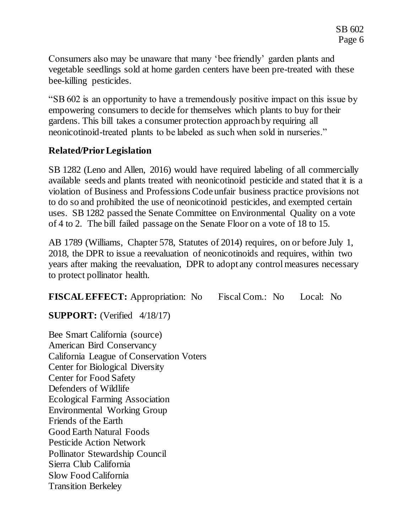Consumers also may be unaware that many 'bee friendly' garden plants and vegetable seedlings sold at home garden centers have been pre-treated with these bee-killing pesticides.

"SB 602 is an opportunity to have a tremendously positive impact on this issue by empowering consumers to decide for themselves which plants to buy for their gardens. This bill takes a consumer protection approach by requiring all neonicotinoid-treated plants to be labeled as such when sold in nurseries."

# **Related/Prior Legislation**

SB 1282 (Leno and Allen, 2016) would have required labeling of all commercially available seeds and plants treated with neonicotinoid pesticide and stated that it is a violation of Business and Professions Code unfair business practice provisions not to do so and prohibited the use of neonicotinoid pesticides, and exempted certain uses. SB 1282 passed the Senate Committee on Environmental Quality on a vote of 4 to 2. The bill failed passage on the Senate Floor on a vote of 18 to 15.

AB 1789 (Williams, Chapter 578, Statutes of 2014) requires, on or before July 1, 2018, the DPR to issue a reevaluation of neonicotinoids and requires, within two years after making the reevaluation, DPR to adopt any control measures necessary to protect pollinator health.

**FISCAL EFFECT:** Appropriation: No Fiscal Com.: No Local: No

**SUPPORT:** (Verified 4/18/17)

Bee Smart California (source) American Bird Conservancy California League of Conservation Voters Center for Biological Diversity Center for Food Safety Defenders of Wildlife Ecological Farming Association Environmental Working Group Friends of the Earth Good Earth Natural Foods Pesticide Action Network Pollinator Stewardship Council Sierra Club California Slow Food California Transition Berkeley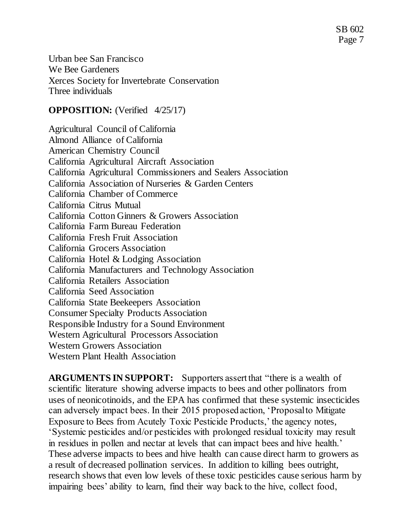Urban bee San Francisco We Bee Gardeners Xerces Society for Invertebrate Conservation Three individuals

### **OPPOSITION:** (Verified 4/25/17)

Agricultural Council of California Almond Alliance of California American Chemistry Council California Agricultural Aircraft Association California Agricultural Commissioners and Sealers Association California Association of Nurseries & Garden Centers California Chamber of Commerce California Citrus Mutual California Cotton Ginners & Growers Association California Farm Bureau Federation California Fresh Fruit Association California Grocers Association California Hotel & Lodging Association California Manufacturers and Technology Association California Retailers Association California Seed Association California State Beekeepers Association Consumer Specialty Products Association Responsible Industry for a Sound Environment Western Agricultural Processors Association Western Growers Association Western Plant Health Association

**ARGUMENTS IN SUPPORT:** Supporters assert that "there is a wealth of scientific literature showing adverse impacts to bees and other pollinators from uses of neonicotinoids, and the EPA has confirmed that these systemic insecticides can adversely impact bees. In their 2015 proposed action, 'Proposal to Mitigate Exposure to Bees from Acutely Toxic Pesticide Products,' the agency notes, 'Systemic pesticides and/or pesticides with prolonged residual toxicity may result in residues in pollen and nectar at levels that can impact bees and hive health.' These adverse impacts to bees and hive health can cause direct harm to growers as a result of decreased pollination services. In addition to killing bees outright, research shows that even low levels of these toxic pesticides cause serious harm by impairing bees' ability to learn, find their way back to the hive, collect food,